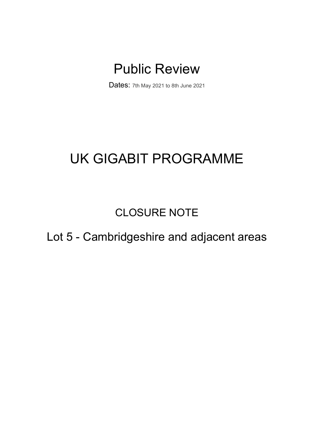# Public Review

Dates: 7th May 2021 to 8th June 2021

# UK GIGABIT PROGRAMME

CLOSURE NOTE

# Lot 5 - Cambridgeshire and adjacent areas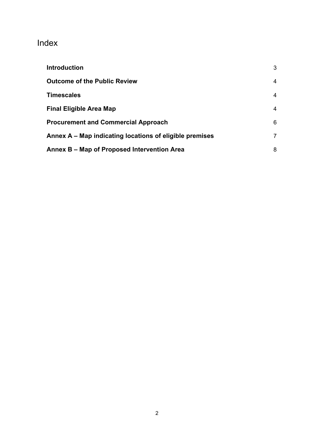# Index

| <b>Introduction</b>                                     | 3              |
|---------------------------------------------------------|----------------|
| <b>Outcome of the Public Review</b>                     | 4              |
| <b>Timescales</b>                                       | 4              |
| <b>Final Eligible Area Map</b>                          | 4              |
| <b>Procurement and Commercial Approach</b>              | 6              |
| Annex A – Map indicating locations of eligible premises | $\overline{7}$ |
| Annex B – Map of Proposed Intervention Area             | 8              |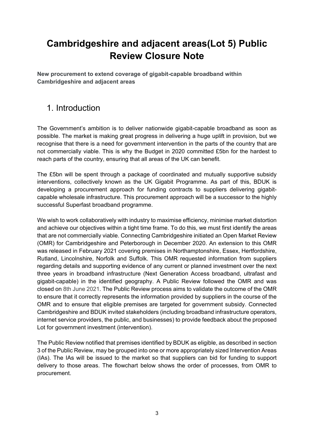# **Cambridgeshire and adjacent areas(Lot 5) Public Review Closure Note**

**New procurement to extend coverage of gigabit-capable broadband within Cambridgeshire and adjacent areas**

#### <span id="page-2-0"></span>1. Introduction

The Government's ambition is to deliver nationwide gigabit-capable broadband as soon as possible. The market is making great progress in delivering a huge uplift in provision, but we recognise that there is a need for government intervention in the parts of the country that are not commercially viable. This is why the Budget in 2020 committed £5bn for the hardest to reach parts of the country, ensuring that all areas of the UK can benefit.

The £5bn will be spent through a package of coordinated and mutually supportive subsidy interventions, collectively known as the UK Gigabit Programme. As part of this, BDUK is developing a procurement approach for funding contracts to suppliers delivering gigabitcapable wholesale infrastructure. This procurement approach will be a successor to the highly successful Superfast broadband programme.

We wish to work collaboratively with industry to maximise efficiency, minimise market distortion and achieve our objectives within a tight time frame. To do this, we must first identify the areas that are not commercially viable. Connecting Cambridgeshire initiated an Open Market Review (OMR) for Cambridgeshire and Peterborough in December 2020. An extension to this OMR was released in February 2021 covering premises in Northamptonshire, Essex, Hertfordshire, Rutland, Lincolnshire, Norfolk and Suffolk. This OMR requested information from suppliers regarding details and supporting evidence of any current or planned investment over the next three years in broadband infrastructure (Next Generation Access broadband, ultrafast and gigabit-capable) in the identified geography. A Public Review followed the OMR and was closed on 8th June 2021. The Public Review process aims to validate the outcome of the OMR to ensure that it correctly represents the information provided by suppliers in the course of the OMR and to ensure that eligible premises are targeted for government subsidy. Connected Cambridgeshire and BDUK invited stakeholders (including broadband infrastructure operators, internet service providers, the public, and businesses) to provide feedback about the proposed Lot for government investment (intervention).

The Public Review notified that premises identified by BDUK as eligible, as described in section 3 of the Public Review, may be grouped into one or more appropriately sized Intervention Areas (IAs). The IAs will be issued to the market so that suppliers can bid for funding to support delivery to those areas. The flowchart below shows the order of processes, from OMR to procurement.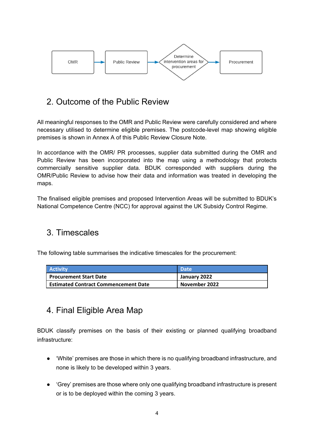

### <span id="page-3-0"></span>2. Outcome of the Public Review

All meaningful responses to the OMR and Public Review were carefully considered and where necessary utilised to determine eligible premises. The postcode-level map showing eligible premises is shown in Annex A of this Public Review Closure Note.

In accordance with the OMR/ PR processes, supplier data submitted during the OMR and Public Review has been incorporated into the map using a methodology that protects commercially sensitive supplier data. BDUK corresponded with suppliers during the OMR/Public Review to advise how their data and information was treated in developing the maps.

The finalised eligible premises and proposed Intervention Areas will be submitted to BDUK's National Competence Centre (NCC) for approval against the UK Subsidy Control Regime.

#### <span id="page-3-1"></span>3. Timescales

The following table summarises the indicative timescales for the procurement:

| <b>Activity</b>                        | Date          |
|----------------------------------------|---------------|
| Procurement Start Date                 | January 2022  |
| l Estimated Contract Commencement Date | November 2022 |

### <span id="page-3-2"></span>4. Final Eligible Area Map

BDUK classify premises on the basis of their existing or planned qualifying broadband infrastructure:

- 'White' premises are those in which there is no qualifying broadband infrastructure, and none is likely to be developed within 3 years.
- 'Grey' premises are those where only one qualifying broadband infrastructure is present or is to be deployed within the coming 3 years.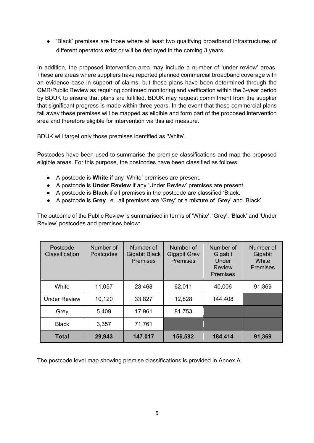● 'Black' premises are those where at least two qualifying broadband infrastructures of different operators exist or will be deployed in the coming 3 years.

In addition, the proposed intervention area may include a number of 'under review' areas. These are areas where suppliers have reported planned commercial broadband coverage with an evidence base in support of claims, but those plans have been determined through the OMR/Public Review as requiring continued monitoring and verification within the 3-year period by BDUK to ensure that plans are fulfilled. BDUK may request commitment from the supplier that significant progress is made within three years. In the event that these commercial plans fall away these premises will be mapped as eligible and form part of the proposed intervention area and therefore eligible for intervention via this aid measure.

BDUK will target only those premises identified as 'White'.

Postcodes have been used to summarise the premise classifications and map the proposed eligible areas. For this purpose, the postcodes have been classified as follows:

- A postcode is **White** if any 'White' premises are present.
- A postcode is **Under Review** if any 'Under Review' premises are present.
- A postcode is **Black** if all premises in the postcode are classified 'Black.
- A postcode is **Grey** i.e., all premises are 'Grey' or a mixture of 'Grey' and 'Black'.

The outcome of the Public Review is summarised in terms of 'White', 'Grey', 'Black' and 'Under Review' postcodes and premises below:

| Postcode<br><b>Classification</b> | Number of<br>Postcodes | Number of<br><b>Gigabit Black</b><br><b>Premises</b> | Number of<br><b>Gigabit Grey</b><br><b>Premises</b> | Number of<br>Gigabit<br>Under<br><b>Review</b><br><b>Premises</b> | Number of<br>Gigabit<br>White<br><b>Premises</b> |
|-----------------------------------|------------------------|------------------------------------------------------|-----------------------------------------------------|-------------------------------------------------------------------|--------------------------------------------------|
| White                             | 11,057                 | 23,468                                               | 62,011                                              | 40,006                                                            | 91,369                                           |
| <b>Under Review</b>               | 10,120                 | 33,827                                               | 12,828                                              | 144,408                                                           |                                                  |
| Grey                              | 5,409                  | 17,961                                               | 81,753                                              |                                                                   |                                                  |
| <b>Black</b>                      | 3,357                  | 71,761                                               |                                                     |                                                                   |                                                  |
| <b>Total</b>                      | 29,943                 | 147,017                                              | 156,592                                             | 184,414                                                           | 91,369                                           |

The postcode level map showing premise classifications is provided in Annex A.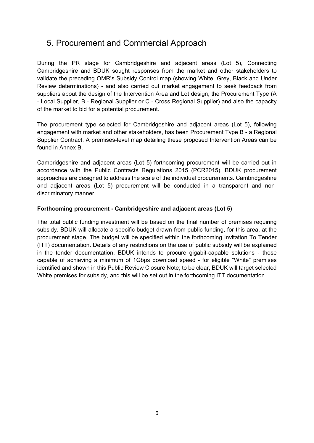### <span id="page-5-0"></span>5. Procurement and Commercial Approach

During the PR stage for Cambridgeshire and adjacent areas (Lot 5), Connecting Cambridgeshire and BDUK sought responses from the market and other stakeholders to validate the preceding OMR's Subsidy Control map (showing White, Grey, Black and Under Review determinations) - and also carried out market engagement to seek feedback from suppliers about the design of the Intervention Area and Lot design, the Procurement Type (A - Local Supplier, B - Regional Supplier or C - Cross Regional Supplier) and also the capacity of the market to bid for a potential procurement.

The procurement type selected for Cambridgeshire and adjacent areas (Lot 5), following engagement with market and other stakeholders, has been Procurement Type B - a Regional Supplier Contract. A premises-level map detailing these proposed Intervention Areas can be found in Annex B.

Cambridgeshire and adjacent areas (Lot 5) forthcoming procurement will be carried out in accordance with the Public Contracts Regulations 2015 (PCR2015). BDUK procurement approaches are designed to address the scale of the individual procurements. Cambridgeshire and adjacent areas (Lot 5) procurement will be conducted in a transparent and nondiscriminatory manner.

#### **Forthcoming procurement - Cambridgeshire and adjacent areas (Lot 5)**

The total public funding investment will be based on the final number of premises requiring subsidy. BDUK will allocate a specific budget drawn from public funding, for this area, at the procurement stage. The budget will be specified within the forthcoming Invitation To Tender (ITT) documentation. Details of any restrictions on the use of public subsidy will be explained in the tender documentation. BDUK intends to procure gigabit-capable solutions - those capable of achieving a minimum of 1Gbps download speed - for eligible "White" premises identified and shown in this Public Review Closure Note; to be clear, BDUK will target selected White premises for subsidy, and this will be set out in the forthcoming ITT documentation.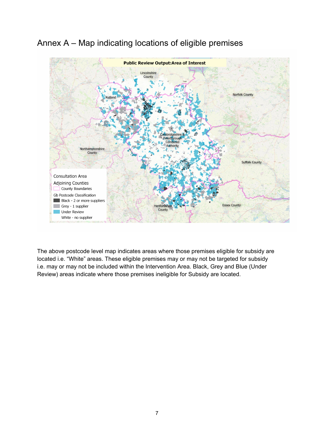

# <span id="page-6-0"></span>Annex A – Map indicating locations of eligible premises

The above postcode level map indicates areas where those premises eligible for subsidy are located i.e. "White" areas. These eligible premises may or may not be targeted for subsidy i.e. may or may not be included within the Intervention Area. Black, Grey and Blue (Under Review) areas indicate where those premises ineligible for Subsidy are located.